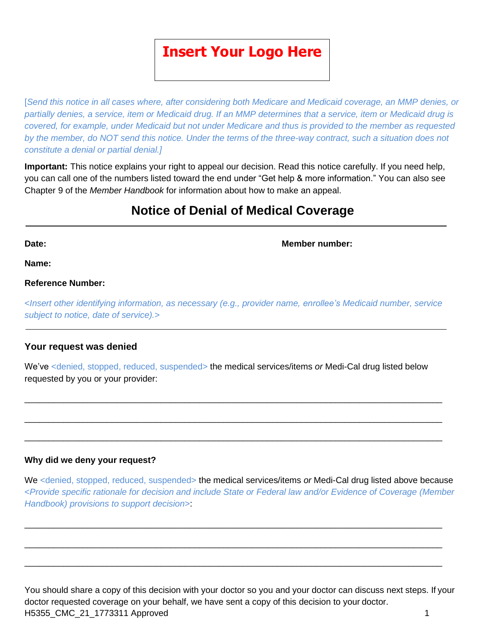# **Insert Your Logo Here**

[*Send this notice in all cases where, after considering both Medicare and Medicaid coverage, an MMP denies, or partially denies, a service, item or Medicaid drug. If an MMP determines that a service, item or Medicaid drug is covered, for example, under Medicaid but not under Medicare and thus is provided to the member as requested by the member, do NOT send this notice. Under the terms of the three-way contract, such a situation does not constitute a denial or partial denial.]*

**Important:** This notice explains your right to appeal our decision. Read this notice carefully. If you need help, you can call one of the numbers listed toward the end under "Get help & more information." You can also see Chapter 9 of the *Member Handbook* for information about how to make an appeal.

# **Notice of Denial of Medical Coverage**

**Date: Member number:**

**Name:**

#### **Reference Number:**

<*Insert other identifying information, as necessary (e.g., provider name, enrollee's Medicaid number, service subject to notice, date of service).*>

#### **Your request was denied**

We've <denied, stopped, reduced, suspended> the medical services/items *or* Medi-Cal drug listed below requested by you or your provider:

\_\_\_\_\_\_\_\_\_\_\_\_\_\_\_\_\_\_\_\_\_\_\_\_\_\_\_\_\_\_\_\_\_\_\_\_\_\_\_\_\_\_\_\_\_\_\_\_\_\_\_\_\_\_\_\_\_\_\_\_\_\_\_\_\_\_\_\_\_\_\_\_\_\_\_\_\_\_\_\_\_\_\_\_\_\_

\_\_\_\_\_\_\_\_\_\_\_\_\_\_\_\_\_\_\_\_\_\_\_\_\_\_\_\_\_\_\_\_\_\_\_\_\_\_\_\_\_\_\_\_\_\_\_\_\_\_\_\_\_\_\_\_\_\_\_\_\_\_\_\_\_\_\_\_\_\_\_\_\_\_\_\_\_\_\_\_\_\_\_\_\_\_

\_\_\_\_\_\_\_\_\_\_\_\_\_\_\_\_\_\_\_\_\_\_\_\_\_\_\_\_\_\_\_\_\_\_\_\_\_\_\_\_\_\_\_\_\_\_\_\_\_\_\_\_\_\_\_\_\_\_\_\_\_\_\_\_\_\_\_\_\_\_\_\_\_\_\_\_\_\_\_\_\_\_\_\_\_\_

#### **Why did we deny your request?**

We <denied, stopped, reduced, suspended> the medical services/items *or* Medi-Cal drug listed above because <*Provide specific rationale for decision and include State or Federal law and/or Evidence of Coverage (Member Handbook) provisions to support decision*>:

\_\_\_\_\_\_\_\_\_\_\_\_\_\_\_\_\_\_\_\_\_\_\_\_\_\_\_\_\_\_\_\_\_\_\_\_\_\_\_\_\_\_\_\_\_\_\_\_\_\_\_\_\_\_\_\_\_\_\_\_\_\_\_\_\_\_\_\_\_\_\_\_\_\_\_\_\_\_\_\_\_\_\_\_\_\_

\_\_\_\_\_\_\_\_\_\_\_\_\_\_\_\_\_\_\_\_\_\_\_\_\_\_\_\_\_\_\_\_\_\_\_\_\_\_\_\_\_\_\_\_\_\_\_\_\_\_\_\_\_\_\_\_\_\_\_\_\_\_\_\_\_\_\_\_\_\_\_\_\_\_\_\_\_\_\_\_\_\_\_\_\_\_

\_\_\_\_\_\_\_\_\_\_\_\_\_\_\_\_\_\_\_\_\_\_\_\_\_\_\_\_\_\_\_\_\_\_\_\_\_\_\_\_\_\_\_\_\_\_\_\_\_\_\_\_\_\_\_\_\_\_\_\_\_\_\_\_\_\_\_\_\_\_\_\_\_\_\_\_\_\_\_\_\_\_\_\_\_\_

H5355\_CMC\_21\_1773311 Approved 1 You should share a copy of this decision with your doctor so you and your doctor can discuss next steps. If your doctor requested coverage on your behalf, we have sent a copy of this decision to your doctor.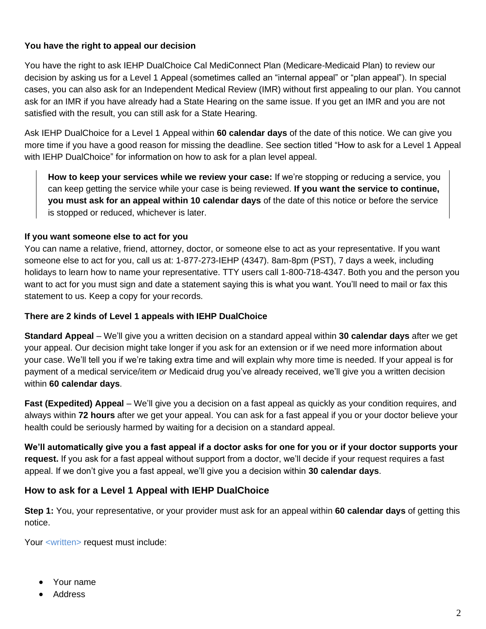#### **You have the right to appeal our decision**

You have the right to ask IEHP DualChoice Cal MediConnect Plan (Medicare-Medicaid Plan) to review our decision by asking us for a Level 1 Appeal (sometimes called an "internal appeal" or "plan appeal"). In special cases, you can also ask for an Independent Medical Review (IMR) without first appealing to our plan. You cannot ask for an IMR if you have already had a State Hearing on the same issue. If you get an IMR and you are not satisfied with the result, you can still ask for a State Hearing.

Ask IEHP DualChoice for a Level 1 Appeal within **60 calendar days** of the date of this notice. We can give you more time if you have a good reason for missing the deadline. See section titled "How to ask for a Level 1 Appeal with IEHP DualChoice" for information on how to ask for a plan level appeal.

**How to keep your services while we review your case:** If we're stopping or reducing a service, you can keep getting the service while your case is being reviewed. **If you want the service to continue, you must ask for an appeal within 10 calendar days** of the date of this notice or before the service is stopped or reduced, whichever is later.

#### **If you want someone else to act for you**

You can name a relative, friend, attorney, doctor, or someone else to act as your representative. If you want someone else to act for you, call us at: 1-877-273-IEHP (4347). 8am-8pm (PST), 7 days a week, including holidays to learn how to name your representative. TTY users call 1-800-718-4347. Both you and the person you want to act for you must sign and date a statement saying this is what you want. You'll need to mail or fax this statement to us. Keep a copy for your records.

#### **There are 2 kinds of Level 1 appeals with IEHP DualChoice**

**Standard Appeal** – We'll give you a written decision on a standard appeal within **30 calendar days** after we get your appeal. Our decision might take longer if you ask for an extension or if we need more information about your case. We'll tell you if we're taking extra time and will explain why more time is needed. If your appeal is for payment of a medical service/item *or* Medicaid drug you've already received, we'll give you a written decision within **60 calendar days**.

**Fast (Expedited) Appeal** – We'll give you a decision on a fast appeal as quickly as your condition requires, and always within **72 hours** after we get your appeal. You can ask for a fast appeal if you or your doctor believe your health could be seriously harmed by waiting for a decision on a standard appeal.

**We'll automatically give you a fast appeal if a doctor asks for one for you or if your doctor supports your request.** If you ask for a fast appeal without support from a doctor, we'll decide if your request requires a fast appeal. If we don't give you a fast appeal, we'll give you a decision within **30 calendar days**.

## **How to ask for a Level 1 Appeal with IEHP DualChoice**

**Step 1:** You, your representative, or your provider must ask for an appeal within **60 calendar days** of getting this notice.

Your <written> request must include:

- Your name
- Address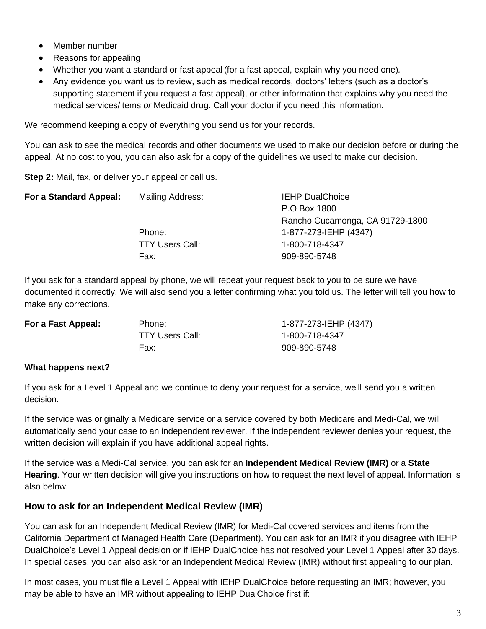- Member number
- Reasons for appealing
- Whether you want a standard or fast appeal (for a fast appeal, explain why you need one)*.*
- Any evidence you want us to review, such as medical records, doctors' letters (such as a doctor's supporting statement if you request a fast appeal), or other information that explains why you need the medical services/items *or* Medicaid drug. Call your doctor if you need this information.

We recommend keeping a copy of everything you send us for your records.

You can ask to see the medical records and other documents we used to make our decision before or during the appeal. At no cost to you, you can also ask for a copy of the guidelines we used to make our decision.

**Step 2:** Mail, fax, or deliver your appeal or call us.

| For a Standard Appeal: | Mailing Address:       | <b>IEHP DualChoice</b>          |
|------------------------|------------------------|---------------------------------|
|                        |                        | P.O Box 1800                    |
|                        |                        | Rancho Cucamonga, CA 91729-1800 |
|                        | Phone:                 | 1-877-273-IEHP (4347)           |
|                        | <b>TTY Users Call:</b> | 1-800-718-4347                  |
|                        | Fax:                   | 909-890-5748                    |
|                        |                        |                                 |

If you ask for a standard appeal by phone, we will repeat your request back to you to be sure we have documented it correctly. We will also send you a letter confirming what you told us. The letter will tell you how to make any corrections.

| Phone:          | 1-877-273-IEHP (4347) |
|-----------------|-----------------------|
| TTY Users Call: | 1-800-718-4347        |
| Fax:            | 909-890-5748          |
|                 |                       |

#### **What happens next?**

If you ask for a Level 1 Appeal and we continue to deny your request for a service, we'll send you a written decision.

If the service was originally a Medicare service or a service covered by both Medicare and Medi-Cal, we will automatically send your case to an independent reviewer. If the independent reviewer denies your request, the written decision will explain if you have additional appeal rights.

If the service was a Medi-Cal service, you can ask for an **Independent Medical Review (IMR)** or a **State Hearing**. Your written decision will give you instructions on how to request the next level of appeal. Information is also below.

## **How to ask for an Independent Medical Review (IMR)**

You can ask for an Independent Medical Review (IMR) for Medi-Cal covered services and items from the California Department of Managed Health Care (Department). You can ask for an IMR if you disagree with IEHP DualChoice's Level 1 Appeal decision or if IEHP DualChoice has not resolved your Level 1 Appeal after 30 days. In special cases, you can also ask for an Independent Medical Review (IMR) without first appealing to our plan.

In most cases, you must file a Level 1 Appeal with IEHP DualChoice before requesting an IMR; however, you may be able to have an IMR without appealing to IEHP DualChoice first if: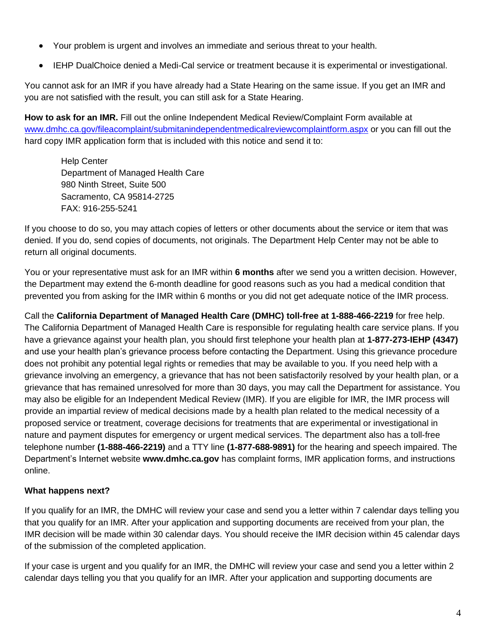- Your problem is urgent and involves an immediate and serious threat to your health.
- IEHP DualChoice denied a Medi-Cal service or treatment because it is experimental or investigational.

You cannot ask for an IMR if you have already had a State Hearing on the same issue. If you get an IMR and you are not satisfied with the result, you can still ask for a State Hearing.

**How to ask for an IMR.** Fill out the online Independent Medical Review/Complaint Form available at [www.dmhc.ca.gov/fileacomplaint/submitanindependentmedicalreviewcomplaintform.aspx](https://www.dmhc.ca.gov/fileacomplaint/submitanindependentmedicalreviewcomplaintform.aspx) or you can fill out the hard copy IMR application form that is included with this notice and send it to:

Help Center Department of Managed Health Care 980 Ninth Street, Suite 500 Sacramento, CA 95814-2725 FAX: 916-255-5241

If you choose to do so, you may attach copies of letters or other documents about the service or item that was denied. If you do, send copies of documents, not originals. The Department Help Center may not be able to return all original documents.

You or your representative must ask for an IMR within **6 months** after we send you a written decision. However, the Department may extend the 6-month deadline for good reasons such as you had a medical condition that prevented you from asking for the IMR within 6 months or you did not get adequate notice of the IMR process.

Call the **California Department of Managed Health Care (DMHC) toll-free at 1-888-466-2219** for free help. The California Department of Managed Health Care is responsible for regulating health care service plans. If you have a grievance against your health plan, you should first telephone your health plan at **1-877-273-IEHP (4347)** and use your health plan's grievance process before contacting the Department. Using this grievance procedure does not prohibit any potential legal rights or remedies that may be available to you. If you need help with a grievance involving an emergency, a grievance that has not been satisfactorily resolved by your health plan, or a grievance that has remained unresolved for more than 30 days, you may call the Department for assistance. You may also be eligible for an Independent Medical Review (IMR). If you are eligible for IMR, the IMR process will provide an impartial review of medical decisions made by a health plan related to the medical necessity of a proposed service or treatment, coverage decisions for treatments that are experimental or investigational in nature and payment disputes for emergency or urgent medical services. The department also has a toll-free telephone number **(1-888-466-2219)** and a TTY line **(1-877-688-9891)** for the hearing and speech impaired. The Department's Internet website **www.dmhc.ca.gov** has complaint forms, IMR application forms, and instructions online.

## **What happens next?**

If you qualify for an IMR, the DMHC will review your case and send you a letter within 7 calendar days telling you that you qualify for an IMR. After your application and supporting documents are received from your plan, the IMR decision will be made within 30 calendar days. You should receive the IMR decision within 45 calendar days of the submission of the completed application.

If your case is urgent and you qualify for an IMR, the DMHC will review your case and send you a letter within 2 calendar days telling you that you qualify for an IMR. After your application and supporting documents are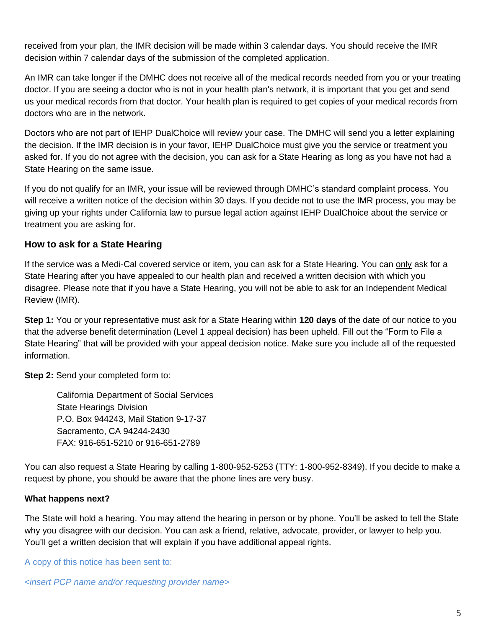received from your plan, the IMR decision will be made within 3 calendar days. You should receive the IMR decision within 7 calendar days of the submission of the completed application.

An IMR can take longer if the DMHC does not receive all of the medical records needed from you or your treating doctor. If you are seeing a doctor who is not in your health plan's network, it is important that you get and send us your medical records from that doctor. Your health plan is required to get copies of your medical records from doctors who are in the network.

Doctors who are not part of IEHP DualChoice will review your case. The DMHC will send you a letter explaining the decision. If the IMR decision is in your favor, IEHP DualChoice must give you the service or treatment you asked for. If you do not agree with the decision, you can ask for a State Hearing as long as you have not had a State Hearing on the same issue.

If you do not qualify for an IMR, your issue will be reviewed through DMHC's standard complaint process. You will receive a written notice of the decision within 30 days. If you decide not to use the IMR process, you may be giving up your rights under California law to pursue legal action against IEHP DualChoice about the service or treatment you are asking for.

## **How to ask for a State Hearing**

If the service was a Medi-Cal covered service or item, you can ask for a State Hearing. You can only ask for a State Hearing after you have appealed to our health plan and received a written decision with which you disagree. Please note that if you have a State Hearing, you will not be able to ask for an Independent Medical Review (IMR).

**Step 1:** You or your representative must ask for a State Hearing within **120 days** of the date of our notice to you that the adverse benefit determination (Level 1 appeal decision) has been upheld. Fill out the "Form to File a State Hearing" that will be provided with your appeal decision notice. Make sure you include all of the requested information.

**Step 2:** Send your completed form to:

California Department of Social Services State Hearings Division P.O. Box 944243, Mail Station 9-17-37 Sacramento, CA 94244-2430 FAX: 916-651-5210 or 916-651-2789

You can also request a State Hearing by calling 1-800-952-5253 (TTY: 1-800-952-8349). If you decide to make a request by phone, you should be aware that the phone lines are very busy.

## **What happens next?**

The State will hold a hearing. You may attend the hearing in person or by phone. You'll be asked to tell the State why you disagree with our decision. You can ask a friend, relative, advocate, provider, or lawyer to help you. You'll get a written decision that will explain if you have additional appeal rights.

A copy of this notice has been sent to:

<*insert PCP name and/or requesting provider name>*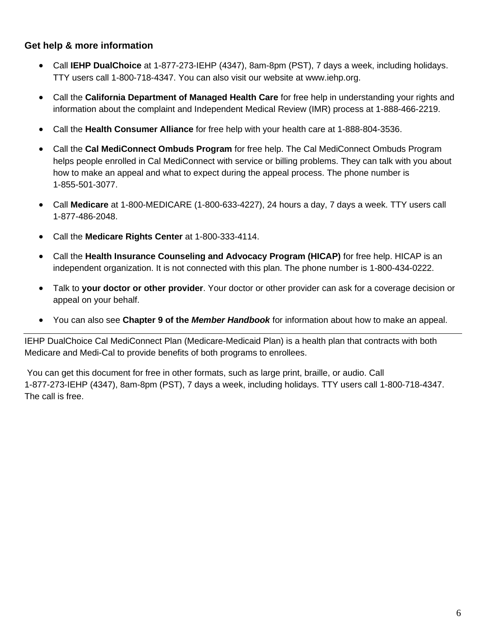# **Get help & more information**

- Call **IEHP DualChoice** at 1-877-273-IEHP (4347), 8am-8pm (PST), 7 days a week, including holidays. TTY users call 1-800-718-4347. You can also visit our website at www.iehp.org.
- Call the **California Department of Managed Health Care** for free help in understanding your rights and information about the complaint and Independent Medical Review (IMR) process at 1-888-466-2219.
- Call the **Health Consumer Alliance** for free help with your health care at 1-888-804-3536.
- Call the **Cal MediConnect Ombuds Program** for free help. The Cal MediConnect Ombuds Program helps people enrolled in Cal MediConnect with service or billing problems. They can talk with you about how to make an appeal and what to expect during the appeal process. The phone number is 1-855-501-3077.
- Call **Medicare** at 1-800-MEDICARE (1-800-633-4227), 24 hours a day, 7 days a week. TTY users call 1-877-486-2048.
- Call the **Medicare Rights Center** at 1-800-333-4114.
- Call the **Health Insurance Counseling and Advocacy Program (HICAP)** for free help. HICAP is an independent organization. It is not connected with this plan. The phone number is 1-800-434-0222.
- Talk to **your doctor or other provider**. Your doctor or other provider can ask for a coverage decision or appeal on your behalf.
- You can also see **Chapter 9 of the** *Member Handbook* for information about how to make an appeal.

IEHP DualChoice Cal MediConnect Plan (Medicare-Medicaid Plan) is a health plan that contracts with both Medicare and Medi-Cal to provide benefits of both programs to enrollees.

You can get this document for free in other formats, such as large print, braille, or audio. Call 1-877-273-IEHP (4347), 8am-8pm (PST), 7 days a week, including holidays. TTY users call 1-800-718-4347. The call is free.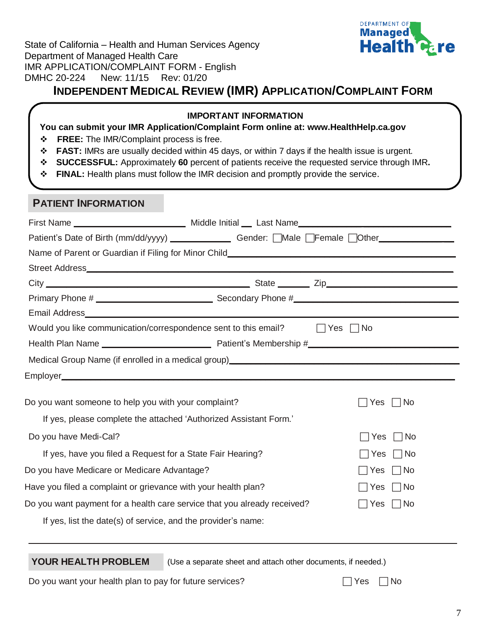| State of California - Health and Human Services Agency |  |  |  |
|--------------------------------------------------------|--|--|--|
| Department of Managed Health Care                      |  |  |  |
| IMR APPLICATION/COMPLAINT FORM - English               |  |  |  |
| DMHC 20-224 New: 11/15 Rev: 01/20                      |  |  |  |
|                                                        |  |  |  |



# **INDEPENDENT MEDICAL REVIEW (IMR) APPLICATION/COMPLAINT FORM**

#### **IMPORTANT INFORMATION**

#### **You can submit your IMR Application/Complaint Form online at: [www.HealthHelp.ca.gov](http://www.healthhelp.ca.gov/)**

- ❖ **FREE:** The IMR/Complaint process is free.
- ❖ **FAST:** IMRs are usually decided within 45 days, or within 7 days if the health issue is urgent.
- ❖ **SUCCESSFUL:** Approximately **60** percent of patients receive the requested service through IMR**.**
- ❖ **FINAL:** Health plans must follow the IMR decision and promptly provide the service.

## **PATIENT INFORMATION**

| Patient's Date of Birth (mm/dd/yyyy) ___________________Gender: [Male   Female   Other_____________ |                |
|-----------------------------------------------------------------------------------------------------|----------------|
|                                                                                                     |                |
|                                                                                                     |                |
|                                                                                                     |                |
|                                                                                                     |                |
|                                                                                                     |                |
| Would you like communication/correspondence sent to this email? $\Box$ Yes $\Box$ No                |                |
|                                                                                                     |                |
| Medical Group Name (if enrolled in a medical group) _____________________________                   |                |
|                                                                                                     |                |
| Do you want someone to help you with your complaint?                                                | Yes   No       |
| If yes, please complete the attached 'Authorized Assistant Form.'                                   |                |
| Do you have Medi-Cal?                                                                               | Yes $\Box$ No  |
| If yes, have you filed a Request for a State Fair Hearing?                                          | Yes $\Box$ No  |
| Do you have Medicare or Medicare Advantage?                                                         | $ Yes \cap No$ |
| Have you filed a complaint or grievance with your health plan?                                      | $ Yes \cap No$ |
| Do you want payment for a health care service that you already received?                            | Yes   No       |
| If yes, list the date(s) of service, and the provider's name:                                       |                |

**YOUR HEALTH PROBLEM** (Use a separate sheet and attach other documents, if needed.)

Do you want your health plan to pay for future services?  $\Box$  Yes  $\Box$  No

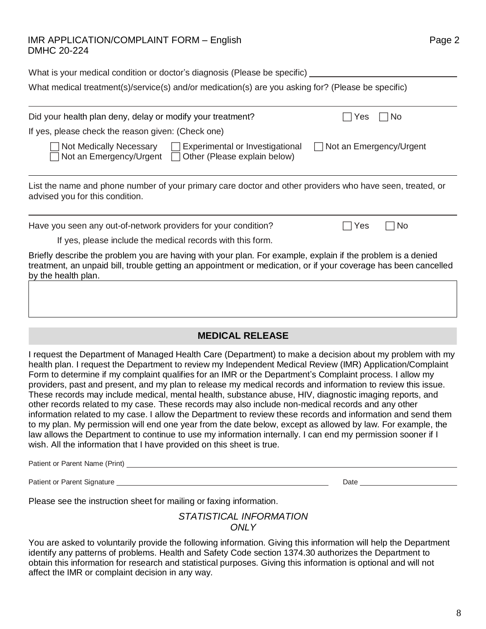#### IMR APPLICATION/COMPLAINT FORM – English Page 2 DMHC 20-224

| What is your medical condition or doctor's diagnosis (Please be specific)                          |
|----------------------------------------------------------------------------------------------------|
| What medical treatment(s)/service(s) and/or medication(s) are you asking for? (Please be specific) |

| Did your health plan deny, delay or modify your treatment?                                                                                                                                                                                            | No.<br>Yes                |  |
|-------------------------------------------------------------------------------------------------------------------------------------------------------------------------------------------------------------------------------------------------------|---------------------------|--|
| If yes, please check the reason given: (Check one)                                                                                                                                                                                                    |                           |  |
| Not Medically Necessary<br>Experimental or Investigational<br>$\pm 1$<br>Not an Emergency/Urgent $\Box$<br>Other (Please explain below)                                                                                                               | □ Not an Emergency/Urgent |  |
| List the name and phone number of your primary care doctor and other providers who have seen, treated, or<br>advised you for this condition.                                                                                                          |                           |  |
| Have you seen any out-of-network providers for your condition?                                                                                                                                                                                        | No.<br>Yes                |  |
| If yes, please include the medical records with this form.                                                                                                                                                                                            |                           |  |
| Briefly describe the problem you are having with your plan. For example, explain if the problem is a denied<br>treatment, an unpaid bill, trouble getting an appointment or medication, or if your coverage has been cancelled<br>by the health plan. |                           |  |
|                                                                                                                                                                                                                                                       |                           |  |

## **MEDICAL RELEASE**

I request the Department of Managed Health Care (Department) to make a decision about my problem with my health plan. I request the Department to review my Independent Medical Review (IMR) Application/Complaint Form to determine if my complaint qualifies for an IMR or the Department's Complaint process. I allow my providers, past and present, and my plan to release my medical records and information to review this issue. These records may include medical, mental health, substance abuse, HIV, diagnostic imaging reports, and other records related to my case. These records may also include non-medical records and any other information related to my case. I allow the Department to review these records and information and send them to my plan. My permission will end one year from the date below, except as allowed by law. For example, the law allows the Department to continue to use my information internally. I can end my permission sooner if I wish. All the information that I have provided on this sheet is true.

Patient or Parent Name (Print)

Patient or Parent Signature Date

Please see the instruction sheet for mailing or faxing information.

*STATISTICAL INFORMATION ONLY*

You are asked to voluntarily provide the following information. Giving this information will help the Department identify any patterns of problems. Health and Safety Code section 1374.30 authorizes the Department to obtain this information for research and statistical purposes. Giving this information is optional and will not affect the IMR or complaint decision in any way.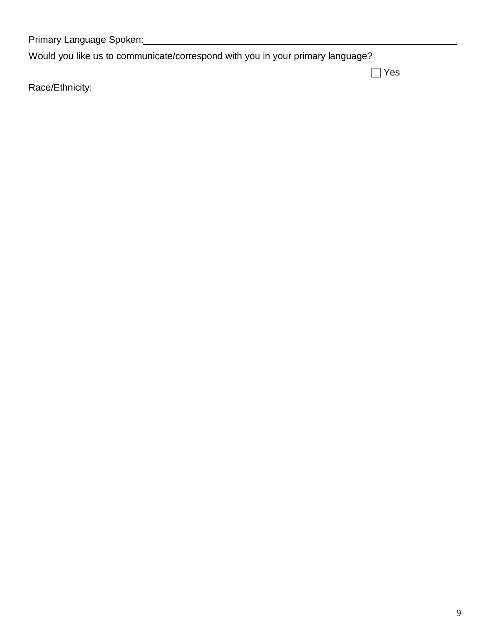| Primary Language Spoken:                                                       |            |
|--------------------------------------------------------------------------------|------------|
| Would you like us to communicate/correspond with you in your primary language? |            |
|                                                                                | $\Box$ Yes |
| Race/Ethnicity:                                                                |            |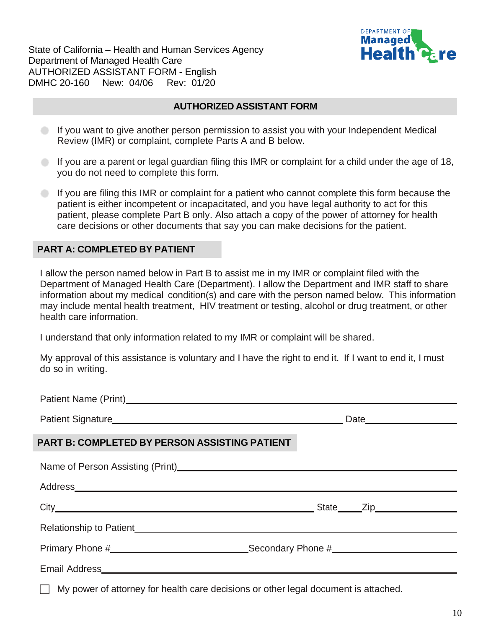State of California – Health and Human Services Agency Department of Managed Health Care AUTHORIZED ASSISTANT FORM - English DMHC 20-160 New: 04/06 Rev: 01/20



#### **AUTHORIZED ASSISTANT FORM**

- If you want to give another person permission to assist you with your Independent Medical Review (IMR) or complaint, complete Parts A and B below.
- If you are a parent or legal guardian filing this IMR or complaint for a child under the age of 18, you do not need to complete this form.
- If you are filing this IMR or complaint for a patient who cannot complete this form because the patient is either incompetent or incapacitated, and you have legal authority to act for this patient, please complete Part B only. Also attach a copy of the power of attorney for health care decisions or other documents that say you can make decisions for the patient.

#### **PART A: COMPLETED BY PATIENT**

I allow the person named below in Part B to assist me in my IMR or complaint filed with the Department of Managed Health Care (Department). I allow the Department and IMR staff to share information about my medical condition(s) and care with the person named below. This information may include mental health treatment, HIV treatment or testing, alcohol or drug treatment, or other health care information.

I understand that only information related to my IMR or complaint will be shared.

My approval of this assistance is voluntary and I have the right to end it. If I want to end it, I must do so in writing.

| PART B: COMPLETED BY PERSON ASSISTING PATIENT                                                                                                                                                                                        |  |
|--------------------------------------------------------------------------------------------------------------------------------------------------------------------------------------------------------------------------------------|--|
| Name of Person Assisting (Print)<br>Name of Person Assisting (Print)                                                                                                                                                                 |  |
|                                                                                                                                                                                                                                      |  |
|                                                                                                                                                                                                                                      |  |
| Relationship to Patient <b>Exercise Contract Contract Contract Contract Contract Contract Contract Contract Contract Contract Contract Contract Contract Contract Contract Contract Contract Contract Contract Contract Contract</b> |  |
|                                                                                                                                                                                                                                      |  |
| Email Address <b>Communication</b> Control and Address <b>Communication</b> Control and Address <b>Communication</b>                                                                                                                 |  |
|                                                                                                                                                                                                                                      |  |

My power of attorney for health care decisions or other legal document is attached.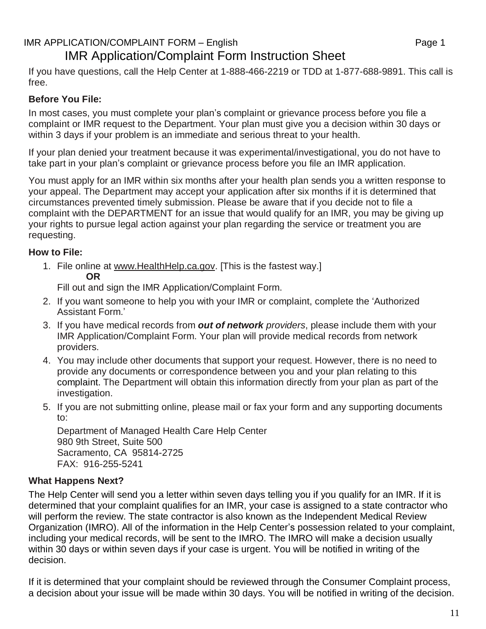# IMR APPLICATION/COMPLAINT FORM – English example the state of the Page 1 IMR Application/Complaint Form Instruction Sheet

If you have questions, call the Help Center at 1-888-466-2219 or TDD at 1-877-688-9891. This call is free.

# **Before You File:**

In most cases, you must complete your plan's complaint or grievance process before you file a complaint or IMR request to the Department. Your plan must give you a decision within 30 days or within 3 days if your problem is an immediate and serious threat to your health.

If your plan denied your treatment because it was experimental/investigational, you do not have to take part in your plan's complaint or grievance process before you file an IMR application.

You must apply for an IMR within six months after your health plan sends you a written response to your appeal. The Department may accept your application after six months if it is determined that circumstances prevented timely submission. Please be aware that if you decide not to file a complaint with the DEPARTMENT for an issue that would qualify for an IMR, you may be giving up your rights to pursue legal action against your plan regarding the service or treatment you are requesting.

# **How to File:**

1. File online at [www.HealthHelp.ca.gov.](http://www.healthhelp.ca.gov/) [This is the fastest way.] **OR**

Fill out and sign the IMR Application/Complaint Form.

- 2. If you want someone to help you with your IMR or complaint, complete the 'Authorized Assistant Form.'
- 3. If you have medical records from *out of network providers*, please include them with your IMR Application/Complaint Form. Your plan will provide medical records from network providers.
- 4. You may include other documents that support your request. However, there is no need to provide any documents or correspondence between you and your plan relating to this complaint. The Department will obtain this information directly from your plan as part of the investigation.
- 5. If you are not submitting online, please mail or fax your form and any supporting documents to:

Department of Managed Health Care Help Center 980 9th Street, Suite 500 Sacramento, CA 95814-2725 FAX: 916-255-5241

## **What Happens Next?**

The Help Center will send you a letter within seven days telling you if you qualify for an IMR. If it is determined that your complaint qualifies for an IMR, your case is assigned to a state contractor who will perform the review. The state contractor is also known as the Independent Medical Review Organization (IMRO). All of the information in the Help Center's possession related to your complaint, including your medical records, will be sent to the IMRO. The IMRO will make a decision usually within 30 days or within seven days if your case is urgent. You will be notified in writing of the decision.

If it is determined that your complaint should be reviewed through the Consumer Complaint process, a decision about your issue will be made within 30 days. You will be notified in writing of the decision.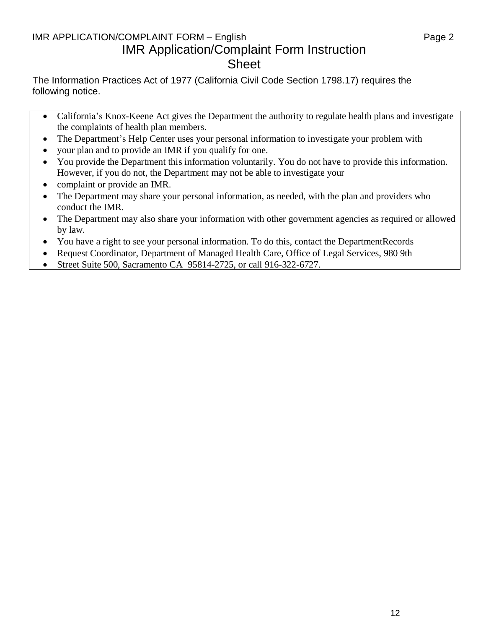# IMR APPLICATION/COMPLAINT FORM – English entitled that the control of the Page 2 IMR Application/Complaint Form Instruction Sheet

The Information Practices Act of 1977 (California Civil Code Section 1798.17) requires the following notice.

- California's Knox-Keene Act gives the Department the authority to regulate health plans and investigate the complaints of health plan members.
- The Department's Help Center uses your personal information to investigate your problem with
- your plan and to provide an IMR if you qualify for one.
- You provide the Department this information voluntarily. You do not have to provide this information. However, if you do not, the Department may not be able to investigate your
- complaint or provide an IMR.
- The Department may share your personal information, as needed, with the plan and providers who conduct the IMR.
- The Department may also share your information with other government agencies as required or allowed by law.
- You have a right to see your personal information. To do this, contact the DepartmentRecords
- Request Coordinator, Department of Managed Health Care, Office of Legal Services, 980 9th
- Street Suite 500, Sacramento CA 95814-2725, or call 916-322-6727.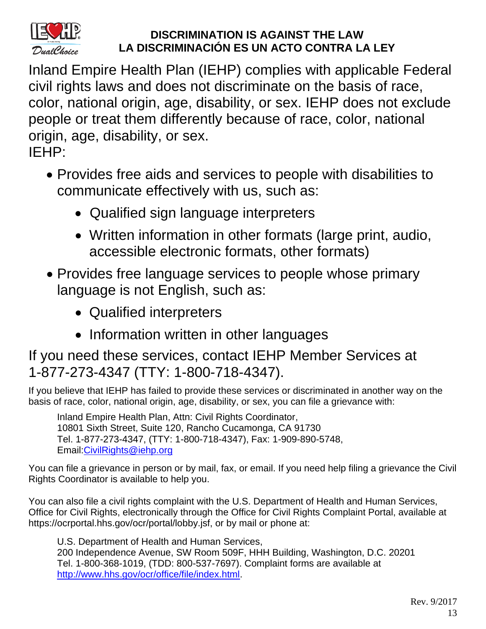

# **DISCRIMINATION IS AGAINST THE LAW LA DISCRIMINACIÓN ES UN ACTO CONTRA LA LEY**

Inland Empire Health Plan (IEHP) complies with applicable Federal civil rights laws and does not discriminate on the basis of race, color, national origin, age, disability, or sex. IEHP does not exclude people or treat them differently because of race, color, national origin, age, disability, or sex.

IEHP:

- Provides free aids and services to people with disabilities to communicate effectively with us, such as:
	- Qualified sign language interpreters
	- Written information in other formats (large print, audio, accessible electronic formats, other formats)
- Provides free language services to people whose primary language is not English, such as:
	- Qualified interpreters
	- Information written in other languages

If you need these services, contact IEHP Member Services at 1-877-273-4347 (TTY: 1-800-718-4347).

If you believe that IEHP has failed to provide these services or discriminated in another way on the basis of race, color, national origin, age, disability, or sex, you can file a grievance with:

Inland Empire Health Plan, Attn: Civil Rights Coordinator, 10801 Sixth Street, Suite 120, Rancho Cucamonga, CA 91730 Tel. 1-877-273-4347, (TTY: 1-800-718-4347), Fax: 1-909-890-5748, Email[:CivilRights@iehp.org](mailto:CivilRights@iehp.org)

You can file a grievance in person or by mail, fax, or email. If you need help filing a grievance the Civil Rights Coordinator is available to help you.

You can also file a civil rights complaint with the U.S. Department of Health and Human Services, Office for Civil Rights, electronically through the Office for Civil Rights Complaint Portal, available at https://ocrportal.hhs.gov/ocr/portal/lobby.jsf, or by mail or phone at:

U.S. Department of Health and Human Services, 200 Independence Avenue, SW Room 509F, HHH Building, Washington, D.C. 20201 Tel. 1-800-368-1019, (TDD: 800-537-7697). Complaint forms are available at [http://www.hhs.gov/ocr/office/file/index.html.](http://www.hhs.gov/ocr/office/file/index.html)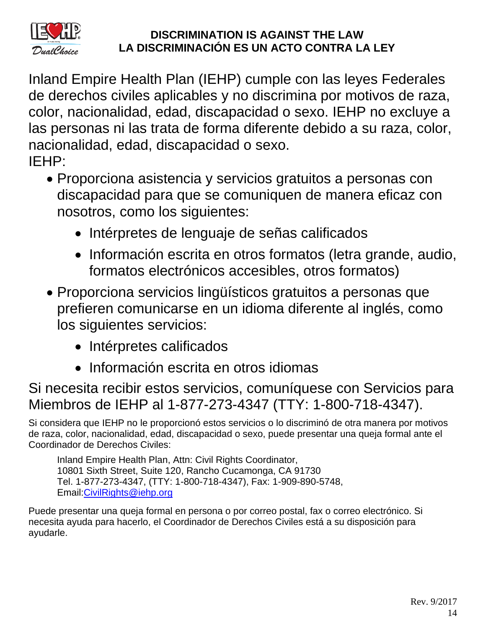

# **DISCRIMINATION IS AGAINST THE LAW LA DISCRIMINACIÓN ES UN ACTO CONTRA LA LEY**

Inland Empire Health Plan (IEHP) cumple con las leyes Federales de derechos civiles aplicables y no discrimina por motivos de raza, color, nacionalidad, edad, discapacidad o sexo. IEHP no excluye a las personas ni las trata de forma diferente debido a su raza, color, nacionalidad, edad, discapacidad o sexo. IEHP:

- Proporciona asistencia y servicios gratuitos a personas con discapacidad para que se comuniquen de manera eficaz con nosotros, como los siguientes:
	- Intérpretes de lenguaje de señas calificados
	- Información escrita en otros formatos (letra grande, audio, formatos electrónicos accesibles, otros formatos)
- Proporciona servicios lingüísticos gratuitos a personas que prefieren comunicarse en un idioma diferente al inglés, como los siguientes servicios:
	- Intérpretes calificados
	- Información escrita en otros idiomas

# Si necesita recibir estos servicios, comuníquese con Servicios para Miembros de IEHP al 1-877-273-4347 (TTY: 1-800-718-4347).

Si considera que IEHP no le proporcionó estos servicios o lo discriminó de otra manera por motivos de raza, color, nacionalidad, edad, discapacidad o sexo, puede presentar una queja formal ante el Coordinador de Derechos Civiles:

Inland Empire Health Plan, Attn: Civil Rights Coordinator, 10801 Sixth Street, Suite 120, Rancho Cucamonga, CA 91730 Tel. 1-877-273-4347, (TTY: 1-800-718-4347), Fax: 1-909-890-5748, Email[:CivilRights@iehp.org](mailto:CivilRights@iehp.org)

Puede presentar una queja formal en persona o por correo postal, fax o correo electrónico. Si necesita ayuda para hacerlo, el Coordinador de Derechos Civiles está a su disposición para ayudarle.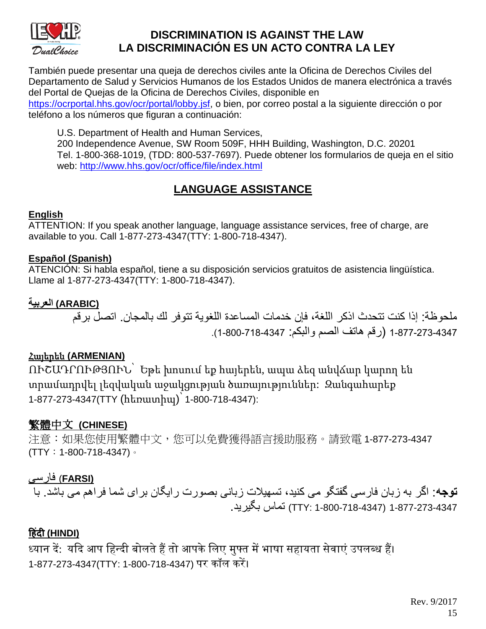

# **DISCRIMINATION IS AGAINST THE LAW LA DISCRIMINACIÓN ES UN ACTO CONTRA LA LEY**

También puede presentar una queja de derechos civiles ante la Oficina de Derechos Civiles del Departamento de Salud y Servicios Humanos de los Estados Unidos de manera electrónica a través del Portal de Quejas de la Oficina de Derechos Civiles, disponible en [https://ocrportal.hhs.gov/ocr/portal/lobby.jsf,](https://ocrportal.hhs.gov/ocr/portal/lobby.jsf) o bien, por correo postal a la siguiente dirección o por teléfono a los números que figuran a continuación:

U.S. Department of Health and Human Services,

200 Independence Avenue, SW Room 509F, HHH Building, Washington, D.C. 20201 Tel. 1-800-368-1019, (TDD: 800-537-7697). Puede obtener los formularios de queja en el sitio web:<http://www.hhs.gov/ocr/office/file/index.html>

# **LANGUAGE ASSISTANCE**

# **English**

ATTENTION: If you speak another language, language assistance services, free of charge, are available to you. Call 1-877-273-4347(TTY: 1-800-718-4347).

# **Español (Spanish)**

ATENCIÓN: Si habla español, tiene a su disposición servicios gratuitos de asistencia lingüística. Llame al 1-877-273-4347(TTY: 1-800-718-4347).

# **(ARABIC (العربية**

ملحوظة: إذا كنت تتحدث اذكر اللغة، فإن خدمات المساعدة اللغوية تتوفر لك بالمجان. اتصل برقم 1-877-273-4347 )رقم هاتف الصم والبكم: 1-800-718-4347(.

# Հայերեն **(ARMENIAN)**

ՈՒՇԱԴՐՈՒԹՅՈՒՆ՝ Եթե խոսում եք հայերեն, ապա ձեզ անվճար կարող են տրամադրվել լեզվական աջակցության ծառայություններ: Զանգահարեք 1-877-273-4347(TTY (հեռատիպ)՝ 1-800-718-4347):

# 繁體中文 **(CHINESE)**

注意:如果您使用繁體中文,您可以免費獲得語言援助服務。請致電 1-877-273-4347 (TTY:1-800-718-4347)。

# **(FARSI** (فارسی

**توجه**: اگر به زبان فارسی گفتگو می کنيد، تسهيالت زبانی بصورت رايگان برای شما فراهم می باشد. با 1-877-273-4347 (1-800-718-4347 :TTY (تماس بگيريد.

# **ह िंदी (HINDI)**

ध्यान दें: यदि आप हिन्दी बोलते हैं तो आपके लिए मुफ्त में भाषा सहायता सेवाएं उपलब्ध हैं। 1-877-273-4347(TTY: 1-800-718-4347) पर कॉल करें।